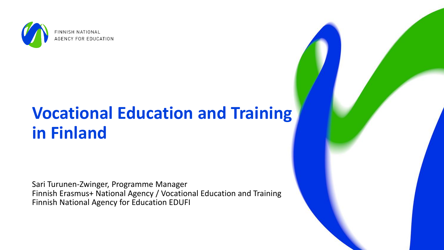

# **Vocational Education and Training in Finland**

Sari Turunen-Zwinger, Programme Manager Finnish Erasmus+ National Agency / Vocational Education and Training Finnish National Agency for Education EDUFI

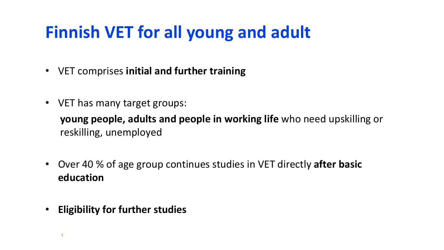# **Finnish VET for all young and adult**

- VET comprises **initial and further training**
- VET has many target groups:

**young people, adults and people in working life** who need upskilling or reskilling, unemployed

- Over 40 % of age group continues studies in VET directly **after basic education**
- **Eligibility for further studies**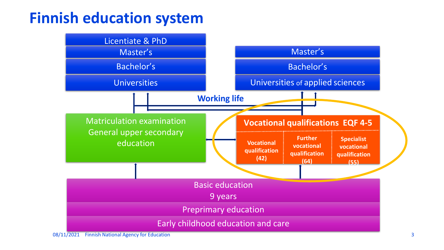#### **Finnish education system**

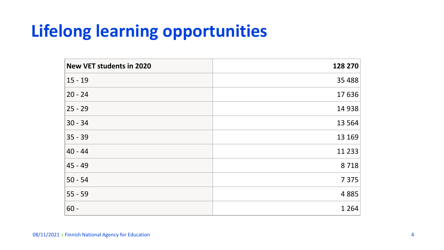# **Lifelong learning opportunities**

| <b>New VET students in 2020</b> | 128 270  |
|---------------------------------|----------|
| $15 - 19$                       | 35 4 88  |
| $20 - 24$                       | 17636    |
| $25 - 29$                       | 14 9 38  |
| $30 - 34$                       | 13 5 64  |
| $35 - 39$                       | 13 169   |
| $40 - 44$                       | 11 2 3 3 |
| 45 - 49                         | 8718     |
| $50 - 54$                       | 7 3 7 5  |
| $55 - 59$                       | 4885     |
| $60 -$                          | 1 2 6 4  |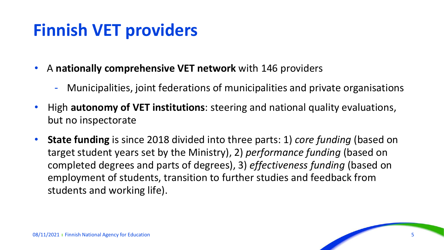#### **Finnish VET providers**

- A **nationally comprehensive VET network** with 146 providers
	- Municipalities, joint federations of municipalities and private organisations
- High **autonomy of VET institutions**: steering and national quality evaluations, but no inspectorate
- **State funding** is since 2018 divided into three parts: 1) *core funding* (based on target student years set by the Ministry), 2) *performance funding* (based on completed degrees and parts of degrees), 3) *effectiveness funding* (based on employment of students, transition to further studies and feedback from students and working life).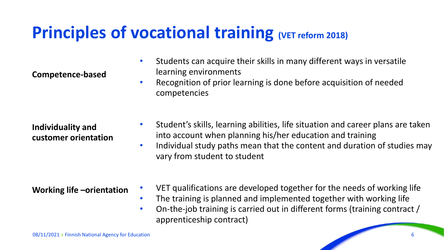#### **Principles of vocational training (VET reform 2018)**

competencies

learning environments

**Competence-based** 

**Individuality and customer orientation** • Student's skills, learning abilities, life situation and career plans are taken into account when planning his/her education and training

• Students can acquire their skills in many different ways in versatile

• Recognition of prior learning is done before acquisition of needed

- Individual study paths mean that the content and duration of studies may vary from student to student
- **Working life –orientation**
- VET qualifications are developed together for the needs of working life
- The training is planned and implemented together with working life
- On-the-job training is carried out in different forms (training contract / apprenticeship contract)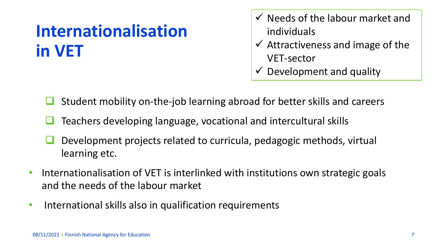# **Internationalisation in VET**

- $\checkmark$  Needs of the labour market and individuals
- $\checkmark$  Attractiveness and image of the VET-sector
- $\checkmark$  Development and quality
- ❑ Student mobility on-the-job learning abroad for better skills and careers
- ❑ Teachers developing language, vocational and intercultural skills
- ❑ Development projects related to curricula, pedagogic methods, virtual learning etc.
- Internationalisation of VET is interlinked with institutions own strategic goals and the needs of the labour market
- International skills also in qualification requirements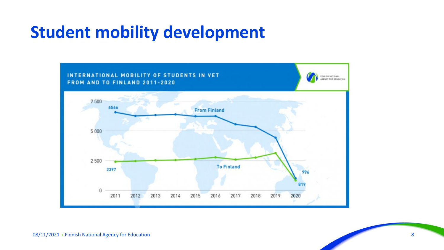#### **Student mobility development**

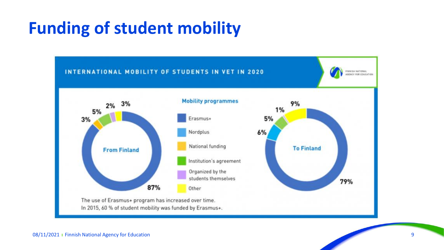### **Funding of student mobility**

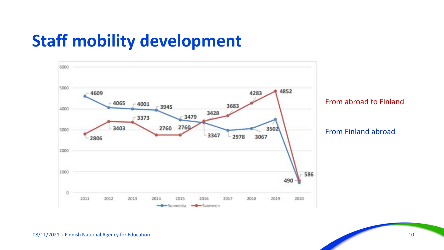#### **Staff mobility development**



From abroad to Finland

From Finland abroad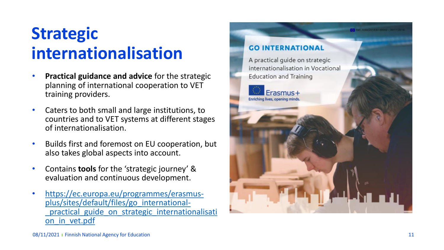## **Strategic internationalisation**

- **Practical guidance and advice** for the strategic planning of international cooperation to VET training providers.
- Caters to both small and large institutions, to countries and to VET systems at different stages of internationalisation.
- Builds first and foremost on EU cooperation, but also takes global aspects into account.
- Contains **tools** for the 'strategic journey' & evaluation and continuous development.
- https://ec.europa.eu/programmes/erasmus plus/sites/default/files/go\_international practical guide on strategic internationalisati on\_in\_vet.pdf